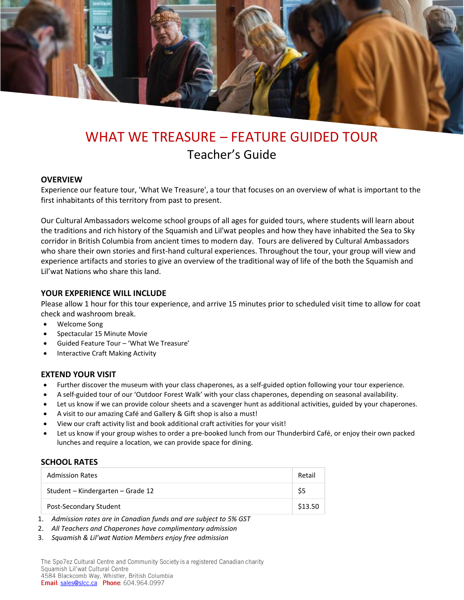

# WHAT WE TREASURE – FEATURE GUIDED TOUR Teacher's Guide

#### **OVERVIEW**

Experience our feature tour, 'What We Treasure', a tour that focuses on an overview of what is important to the first inhabitants of this territory from past to present.

Our Cultural Ambassadors welcome school groups of all ages for guided tours, where students will learn about the traditions and rich history of the Squamish and Lil'wat peoples and how they have inhabited the Sea to Sky corridor in British Columbia from ancient times to modern day. Tours are delivered by Cultural Ambassadors who share their own stories and first-hand cultural experiences. Throughout the tour, your group will view and experience artifacts and stories to give an overview of the traditional way of life of the both the Squamish and Lil'wat Nations who share this land.

#### **YOUR EXPERIENCE WILL INCLUDE**

Please allow 1 hour for this tour experience, and arrive 15 minutes prior to scheduled visit time to allow for coat check and washroom break.

- Welcome Song
- Spectacular 15 Minute Movie
- Guided Feature Tour 'What We Treasure'
- Interactive Craft Making Activity

#### **EXTEND YOUR VISIT**

- Further discover the museum with your class chaperones, as a self-guided option following your tour experience.
- A self-guided tour of our 'Outdoor Forest Walk' with your class chaperones, depending on seasonal availability.
- Let us know if we can provide colour sheets and a scavenger hunt as additional activities, guided by your chaperones.
- A visit to our amazing Café and Gallery & Gift shop is also a must!
- View our craft activity list and book additional craft activities for your visit!
- Let us know if your group wishes to order a pre-booked lunch from our Thunderbird Café, or enjoy their own packed lunches and require a location, we can provide space for dining.

#### **SCHOOL RATES**

| <b>Admission Rates</b>            | Retail  |
|-----------------------------------|---------|
| Student – Kindergarten – Grade 12 | \$5     |
| Post-Secondary Student            | \$13.50 |

1. *Admission rates are in Canadian funds and are subject to 5% GST*

- 2. *All Teachers and Chaperones have complimentary admission*
- 3. *Squamish & Lil'wat Nation Members enjoy free admission*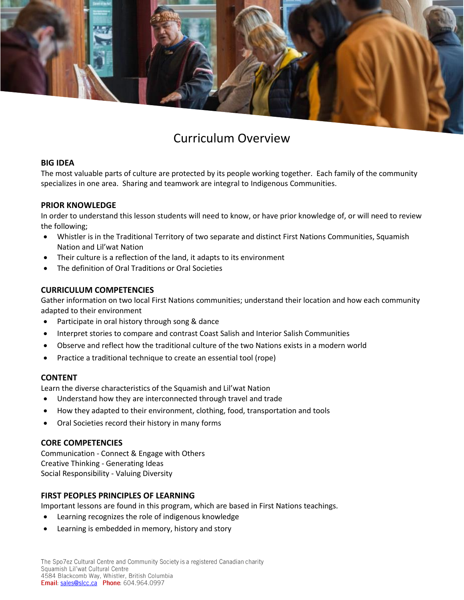

# Curriculum Overview

## **BIG IDEA**

The most valuable parts of culture are protected by its people working together. Each family of the community specializes in one area. Sharing and teamwork are integral to Indigenous Communities.

## **PRIOR KNOWLEDGE**

In order to understand this lesson students will need to know, or have prior knowledge of, or will need to review the following;

- Whistler is in the Traditional Territory of two separate and distinct First Nations Communities, Squamish Nation and Lil'wat Nation
- Their culture is a reflection of the land, it adapts to its environment
- The definition of Oral Traditions or Oral Societies

#### **CURRICULUM COMPETENCIES**

Gather information on two local First Nations communities; understand their location and how each community adapted to their environment

- Participate in oral history through song & dance
- Interpret stories to compare and contrast Coast Salish and Interior Salish Communities
- Observe and reflect how the traditional culture of the two Nations exists in a modern world
- Practice a traditional technique to create an essential tool (rope)

#### **CONTENT**

Learn the diverse characteristics of the Squamish and Lil'wat Nation

- Understand how they are interconnected through travel and trade
- How they adapted to their environment, clothing, food, transportation and tools
- Oral Societies record their history in many forms

# **CORE COMPETENCIES**

Communication - Connect & Engage with Others Creative Thinking - Generating Ideas Social Responsibility - Valuing Diversity

# **FIRST PEOPLES PRINCIPLES OF LEARNING**

Important lessons are found in this program, which are based in First Nations teachings.

- Learning recognizes the role of indigenous knowledge
- Learning is embedded in memory, history and story